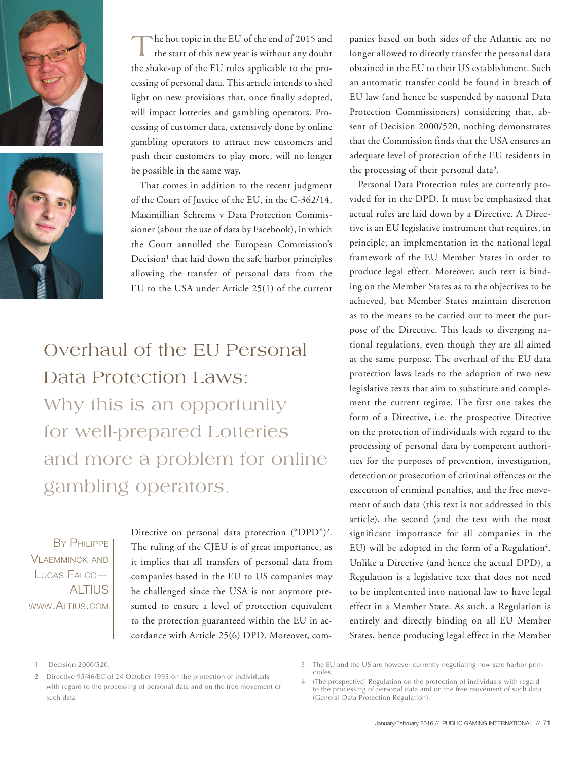



The hot topic in the EU of the end of 2015 and<br>the start of this new year is without any doubt the shake-up of the EU rules applicable to the processing of personal data. This article intends to shed light on new provisions that, once finally adopted, will impact lotteries and gambling operators. Processing of customer data, extensively done by online gambling operators to attract new customers and push their customers to play more, will no longer be possible in the same way.

That comes in addition to the recent judgment of the Court of Justice of the EU, in the C-362/14, Maximillian Schrems v Data Protection Commissioner (about the use of data by Facebook), in which the Court annulled the European Commission's Decision<sup>1</sup> that laid down the safe harbor principles allowing the transfer of personal data from the EU to the USA under Article 25(1) of the current

Overhaul of the EU Personal Data Protection Laws: Why this is an opportunity for well-prepared Lotteries and more a problem for online gambling operators.

By Philippe VI AFMMINCK AND Lucas Falco— **ALTIUS** www.Altius.com

Directive on personal data protection ("DPD")<sup>2</sup>. The ruling of the CJEU is of great importance, as it implies that all transfers of personal data from companies based in the EU to US companies may be challenged since the USA is not anymore presumed to ensure a level of protection equivalent to the protection guaranteed within the EU in accordance with Article 25(6) DPD. Moreover, companies based on both sides of the Atlantic are no longer allowed to directly transfer the personal data obtained in the EU to their US establishment. Such an automatic transfer could be found in breach of EU law (and hence be suspended by national Data Protection Commissioners) considering that, absent of Decision 2000/520, nothing demonstrates that the Commission finds that the USA ensures an adequate level of protection of the EU residents in the processing of their personal data<sup>3</sup>.

Personal Data Protection rules are currently provided for in the DPD. It must be emphasized that actual rules are laid down by a Directive. A Directive is an EU legislative instrument that requires, in principle, an implementation in the national legal framework of the EU Member States in order to produce legal effect. Moreover, such text is binding on the Member States as to the objectives to be achieved, but Member States maintain discretion as to the means to be carried out to meet the purpose of the Directive. This leads to diverging national regulations, even though they are all aimed at the same purpose. The overhaul of the EU data protection laws leads to the adoption of two new legislative texts that aim to substitute and complement the current regime. The first one takes the form of a Directive, i.e. the prospective Directive on the protection of individuals with regard to the processing of personal data by competent authorities for the purposes of prevention, investigation, detection or prosecution of criminal offences or the execution of criminal penalties, and the free movement of such data (this text is not addressed in this article), the second (and the text with the most significant importance for all companies in the EU) will be adopted in the form of a Regulation<sup>4</sup>. Unlike a Directive (and hence the actual DPD), a Regulation is a legislative text that does not need to be implemented into national law to have legal effect in a Member State. As such, a Regulation is entirely and directly binding on all EU Member States, hence producing legal effect in the Member

<sup>1</sup> Decision 2000/520.

<sup>2</sup> Directive 95/46/EC of 24 October 1995 on the protection of individuals with regard to the processing of personal data and on the free movement of such data

<sup>3</sup> The EU and the US are however currently negotiating new safe harbor principles.

<sup>4</sup> (The prospective) Regulation on the protection of individuals with regard to the processing of personal data and on the free movement of such data (General Data Protection Regulation).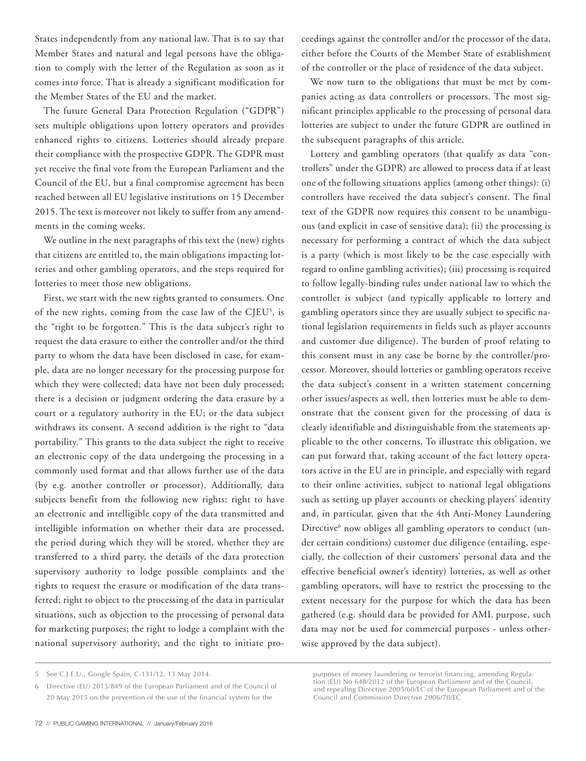States independently from any national law. That is to say that Member States and natural and legal persons have the obligation to comply with the letter of the Regulation as soon as it comes into force. That is already a significant modification for the Member States of the EU and the market.

The future General Data Protection Regulation ("GDPR") sets multiple obligations upon lottery operators and provides enhanced rights to citizens. Lotteries should already prepare their compliance with the prospective GDPR. The GDPR must yet receive the final vote from the European Parliament and the Council of the EU, but a final compromise agreement has been reached between all EU legislative institutions on 15 December 2015. The text is moreover not likely to suffer from any amendments in the coming weeks.

We outline in the next paragraphs of this text the (new) rights that citizens are entitled to, the main obligations impacting lotteries and other gambling operators, and the steps required for lotteries to meet those new obligations.

First, we start with the new rights granted to consumers. One of the new rights, coming from the case law of the CJEU<sup>5</sup>, is the "right to be forgotten." This is the data subject's right to request the data erasure to either the controller and/or the third party to whom the data have been disclosed in case, for example, data are no longer necessary for the processing purpose for which they were collected; data have not been duly processed; there is a decision or judgment ordering the data erasure by a court or a regulatory authority in the EU; or the data subject withdraws its consent. A second addition is the right to "data portability." This grants to the data subject the right to receive an electronic copy of the data undergoing the processing in a commonly used format and that allows further use of the data (by e.g. another controller or processor). Additionally, data subjects benefit from the following new rights: right to have an electronic and intelligible copy of the data transmitted and intelligible information on whether their data are processed, the period during which they will be stored, whether they are transferred to a third party, the details of the data protection supervisory authority to lodge possible complaints and the rights to request the erasure or modification of the data transferred; right to object to the processing of the data in particular situations, such as objection to the processing of personal data for marketing purposes; the right to lodge a complaint with the national supervisory authority; and the right to initiate pro-

72 // PUBLIC GAMING INTERNATIONAL // January/February 2016

ceedings against the controller and/or the processor of the data, either before the Courts of the Member State of establishment of the controller or the place of residence of the data subject.

We now turn to the obligations that must be met by companies acting as data controllers or processors. The most significant principles applicable to the processing of personal data lotteries are subject to under the future GDPR are outlined in the subsequent paragraphs of this article.

Lottery and gambling operators (that qualify as data "controllers" under the GDPR) are allowed to process data if at least one of the following situations applies (among other things): (i) controllers have received the data subject's consent. The final text of the GDPR now requires this consent to be unambiguous (and explicit in case of sensitive data); (ii) the processing is necessary for performing a contract of which the data subject is a party (which is most likely to be the case especially with regard to online gambling activities); (iii) processing is required to follow legally-binding rules under national law to which the controller is subject (and typically applicable to lottery and gambling operators since they are usually subject to specific national legislation requirements in fields such as player accounts and customer due diligence). The burden of proof relating to this consent must in any case be borne by the controller/processor. Moreover, should lotteries or gambling operators receive the data subject's consent in a written statement concerning other issues/aspects as well, then lotteries must be able to demonstrate that the consent given for the processing of data is clearly identifiable and distinguishable from the statements applicable to the other concerns. To illustrate this obligation, we can put forward that, taking account of the fact lottery operators active in the EU are in principle, and especially with regard to their online activities, subject to national legal obligations such as setting up player accounts or checking players' identity and, in particular, given that the 4th Anti-Money Laundering Directive<sup>6</sup> now obliges all gambling operators to conduct (under certain conditions) customer due diligence (entailing, especially, the collection of their customers' personal data and the effective beneficial owner's identity) lotteries, as well as other gambling operators, will have to restrict the processing to the extent necessary for the purpose for which the data has been gathered (e.g. should data be provided for AML purpose, such data may not be used for commercial purposes - unless otherwise approved by the data subject).

<sup>5</sup> See C.J.E.U., Google Spain, C-131/12, 13 May 2014.

<sup>6</sup> Directive (EU) 2015/849 of the European Parliament and of the Council of 20 May 2015 on the prevention of the use of the financial system for the

purposes of money laundering or terrorist financing, amending Regulation (EU) No 648/2012 of the European Parliament and of the Council, and repealing Directive 2005/60/EC of the European Parliament and of the Council and Commission Directive 2006/70/EC